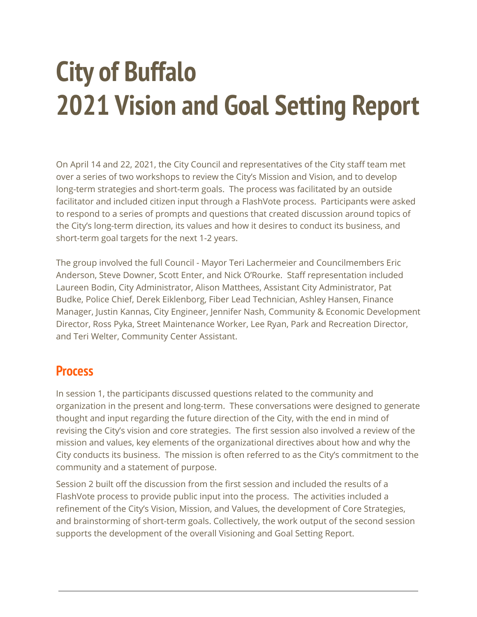# **City of Buffalo 2021 Vision and Goal Setting Report**

On April 14 and 22, 2021, the City Council and representatives of the City staff team met over a series of two workshops to review the City's Mission and Vision, and to develop long-term strategies and short-term goals. The process was facilitated by an outside facilitator and included citizen input through a FlashVote process. Participants were asked to respond to a series of prompts and questions that created discussion around topics of the City's long-term direction, its values and how it desires to conduct its business, and short-term goal targets for the next 1-2 years.

The group involved the full Council - Mayor Teri Lachermeier and Councilmembers Eric Anderson, Steve Downer, Scott Enter, and Nick O'Rourke. Staff representation included Laureen Bodin, City Administrator, Alison Matthees, Assistant City Administrator, Pat Budke, Police Chief, Derek Eiklenborg, Fiber Lead Technician, Ashley Hansen, Finance Manager, Justin Kannas, City Engineer, Jennifer Nash, Community & Economic Development Director, Ross Pyka, Street Maintenance Worker, Lee Ryan, Park and Recreation Director, and Teri Welter, Community Center Assistant.

# **Process**

In session 1, the participants discussed questions related to the community and organization in the present and long-term. These conversations were designed to generate thought and input regarding the future direction of the City, with the end in mind of revising the City's vision and core strategies. The first session also involved a review of the mission and values, key elements of the organizational directives about how and why the City conducts its business. The mission is often referred to as the City's commitment to the community and a statement of purpose.

Session 2 built off the discussion from the first session and included the results of a FlashVote process to provide public input into the process. The activities included a refinement of the City's Vision, Mission, and Values, the development of Core Strategies, and brainstorming of short-term goals. Collectively, the work output of the second session supports the development of the overall Visioning and Goal Setting Report.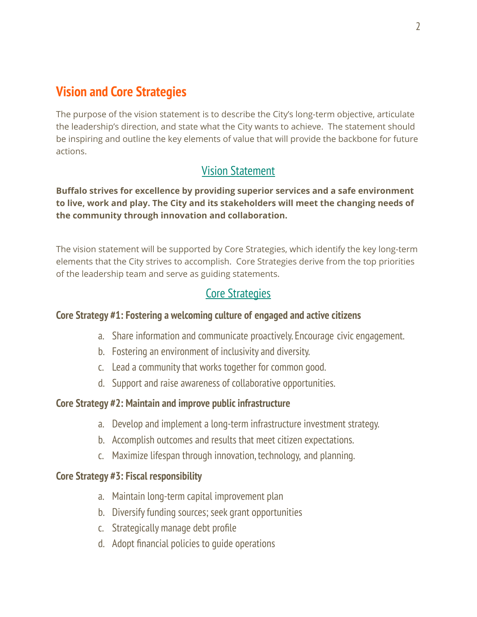# **Vision and Core Strategies**

The purpose of the vision statement is to describe the City's long-term objective, articulate the leadership's direction, and state what the City wants to achieve. The statement should be inspiring and outline the key elements of value that will provide the backbone for future actions.

# Vision Statement

**Buffalo strives for excellence by providing superior services and a safe environment to live, work and play. The City and its stakeholders will meet the changing needs of the community through innovation and collaboration.**

The vision statement will be supported by Core Strategies, which identify the key long-term elements that the City strives to accomplish. Core Strategies derive from the top priorities of the leadership team and serve as guiding statements.

# Core Strategies

### **Core Strategy #1: Fostering a welcoming culture of engaged and active citizens**

- a. Share information and communicate proactively. Encourage civic engagement.
- b. Fostering an environment of inclusivity and diversity.
- c. Lead a community that works together for common good.
- d. Support and raise awareness of collaborative opportunities.

### **Core Strategy #2: Maintain and improve public infrastructure**

- a. Develop and implement a long-term infrastructure investment strategy.
- b. Accomplish outcomes and results that meet citizen expectations.
- c. Maximize lifespan through innovation, technology, and planning.

### **Core Strategy #3: Fiscal responsibility**

- a. Maintain long-term capital improvement plan
- b. Diversify funding sources; seek grant opportunities
- c. Strategically manage debt profile
- d. Adopt financial policies to guide operations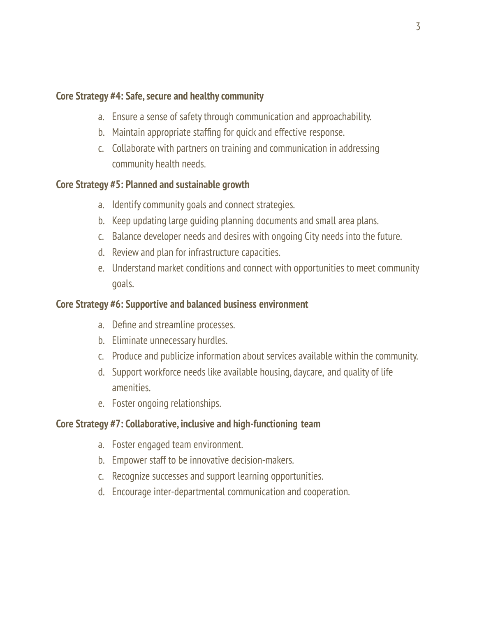### **Core Strategy #4: Safe, secure and healthy community**

- a. Ensure a sense of safety through communication and approachability.
- b. Maintain appropriate staffing for quick and effective response.
- c. Collaborate with partners on training and communication in addressing community health needs.

## **Core Strategy #5: Planned and sustainable growth**

- a. Identify community goals and connect strategies.
- b. Keep updating large guiding planning documents and small area plans.
- c. Balance developer needs and desires with ongoing City needs into the future.
- d. Review and plan for infrastructure capacities.
- e. Understand market conditions and connect with opportunities to meet community goals.

## **Core Strategy #6: Supportive and balanced business environment**

- a. Define and streamline processes.
- b. Eliminate unnecessary hurdles.
- c. Produce and publicize information about services available within the community.
- d. Support workforce needs like available housing, daycare, and quality of life amenities.
- e. Foster ongoing relationships.

## **Core Strategy #7: Collaborative, inclusive and high-functioning team**

- a. Foster engaged team environment.
- b. Empower staff to be innovative decision-makers.
- c. Recognize successes and support learning opportunities.
- d. Encourage inter-departmental communication and cooperation.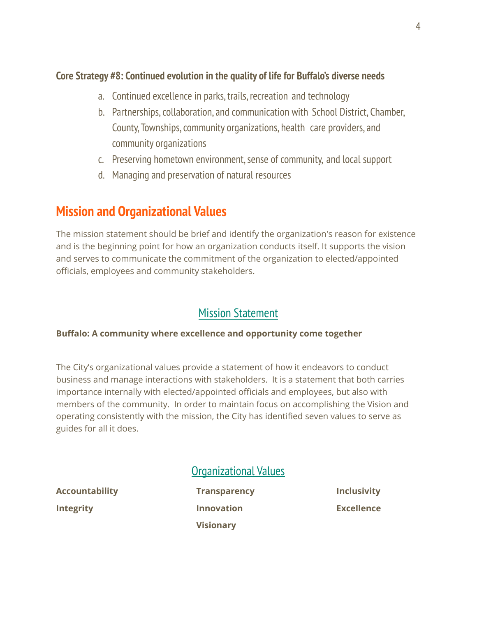## **Core Strategy #8: Continued evolution in the quality of life for Buffalo's diverse needs**

- a. Continued excellence in parks, trails, recreation and technology
- b. Partnerships,collaboration, and communication with School District, Chamber, County, Townships,community organizations, health care providers, and community organizations
- c. Preserving hometown environment,sense of community, and local support
- d. Managing and preservation of natural resources

# **Mission and Organizational Values**

The mission statement should be brief and identify the organization's reason for existence and is the beginning point for how an organization conducts itself. It supports the vision and serves to communicate the commitment of the organization to elected/appointed officials, employees and community stakeholders.

# Mission Statement

#### **Buffalo: A community where excellence and opportunity come together**

The City's organizational values provide a statement of how it endeavors to conduct business and manage interactions with stakeholders. It is a statement that both carries importance internally with elected/appointed officials and employees, but also with members of the community. In order to maintain focus on accomplishing the Vision and operating consistently with the mission, the City has identified seven values to serve as guides for all it does.

# Organizational Values

**Accountability Transparency Inclusivity Integrity Innovation Excellence**

**Visionary**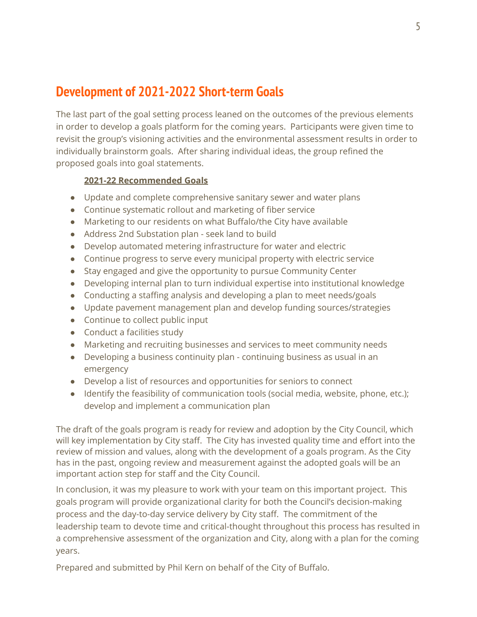# **Development of 2021-2022 Short-term Goals**

The last part of the goal setting process leaned on the outcomes of the previous elements in order to develop a goals platform for the coming years. Participants were given time to revisit the group's visioning activities and the environmental assessment results in order to individually brainstorm goals. After sharing individual ideas, the group refined the proposed goals into goal statements.

#### **2021-22 Recommended Goals**

- Update and complete comprehensive sanitary sewer and water plans
- Continue systematic rollout and marketing of fiber service
- Marketing to our residents on what Buffalo/the City have available
- Address 2nd Substation plan seek land to build
- Develop automated metering infrastructure for water and electric
- Continue progress to serve every municipal property with electric service
- Stay engaged and give the opportunity to pursue Community Center
- Developing internal plan to turn individual expertise into institutional knowledge
- Conducting a staffing analysis and developing a plan to meet needs/goals
- Update pavement management plan and develop funding sources/strategies
- Continue to collect public input
- Conduct a facilities study
- Marketing and recruiting businesses and services to meet community needs
- Developing a business continuity plan continuing business as usual in an emergency
- Develop a list of resources and opportunities for seniors to connect
- Identify the feasibility of communication tools (social media, website, phone, etc.); develop and implement a communication plan

The draft of the goals program is ready for review and adoption by the City Council, which will key implementation by City staff. The City has invested quality time and effort into the review of mission and values, along with the development of a goals program. As the City has in the past, ongoing review and measurement against the adopted goals will be an important action step for staff and the City Council.

In conclusion, it was my pleasure to work with your team on this important project. This goals program will provide organizational clarity for both the Council's decision-making process and the day-to-day service delivery by City staff. The commitment of the leadership team to devote time and critical-thought throughout this process has resulted in a comprehensive assessment of the organization and City, along with a plan for the coming years.

Prepared and submitted by Phil Kern on behalf of the City of Buffalo.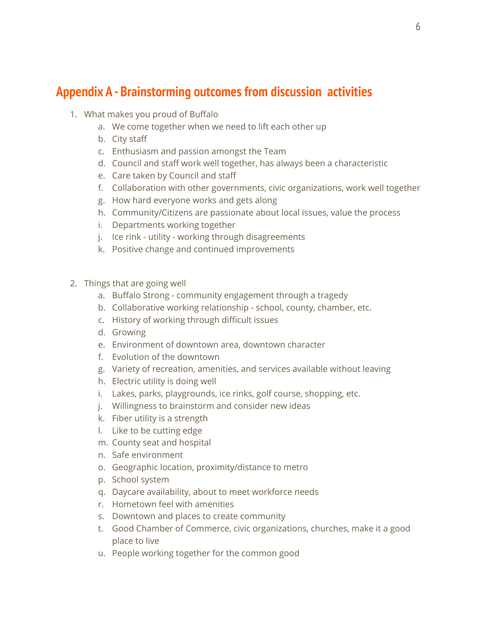# **Appendix A - Brainstorming outcomes from discussion activities**

- 1. What makes you proud of Buffalo
	- a. We come together when we need to lift each other up
	- b. City staff
	- c. Enthusiasm and passion amongst the Team
	- d. Council and staff work well together, has always been a characteristic
	- e. Care taken by Council and staff
	- f. Collaboration with other governments, civic organizations, work well together
	- g. How hard everyone works and gets along
	- h. Community/Citizens are passionate about local issues, value the process
	- i. Departments working together
	- j. Ice rink utility working through disagreements
	- k. Positive change and continued improvements
- 2. Things that are going well
	- a. Buffalo Strong community engagement through a tragedy
	- b. Collaborative working relationship school, county, chamber, etc.
	- c. History of working through difficult issues
	- d. Growing
	- e. Environment of downtown area, downtown character
	- f. Evolution of the downtown
	- g. Variety of recreation, amenities, and services available without leaving
	- h. Electric utility is doing well
	- i. Lakes, parks, playgrounds, ice rinks, golf course, shopping, etc.
	- j. Willingness to brainstorm and consider new ideas
	- k. Fiber utility is a strength
	- l. Like to be cutting edge
	- m. County seat and hospital
	- n. Safe environment
	- o. Geographic location, proximity/distance to metro
	- p. School system
	- q. Daycare availability, about to meet workforce needs
	- r. Hometown feel with amenities
	- s. Downtown and places to create community
	- t. Good Chamber of Commerce, civic organizations, churches, make it a good place to live
	- u. People working together for the common good